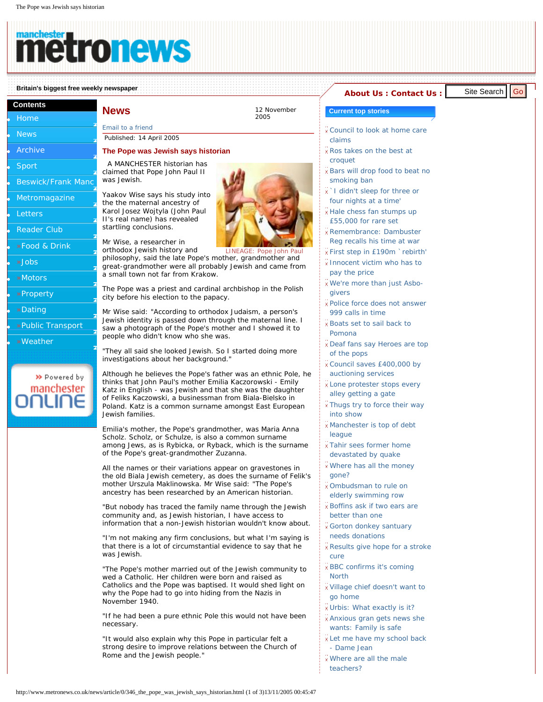**Contents [Home](http://www.metronews.co.uk/) [News](http://www.metronews.co.uk/news/) [Archive](http://www.metronews.co.uk/news/archive/) [Sport](http://www.metronews.co.uk/sport/)** 

## tro rev

[Email to a friend](http://www.metronews.co.uk/etaf/?headline=The Pope was Jewish says historian&urltosend=http://www.metronews.co.uk/news/article/0/346_the_pope_was_jewish_says_historian.html) Published: 14 April 2005

was Jewish.

## **Britain's biggest free weekly newspaper [About Us](http://www.metronews.co.uk/aboutus.html) : [Contact Us](http://www.metronews.co.uk/contactus.html) : Contact Us : Contact Us : Contact Us : Contact Us : Contact Us : Contact Us : Contact Us : Contact Us : Contact Us : Contact Us : Contact Us : Contact Us :**

A MANCHESTER historian has claimed that Pope John Paul II

the the maternal ancestry of Karol Josez Wojtyla (John Paul II's real name) has revealed startling conclusions.

**News** 12 November

**Beswick/Frank Mand** [Metromagazine](http://www.metronews.co.uk/magazine/) **[Letters](http://www.metronews.co.uk/letters/) [Reader Club](http://www.metronews.co.uk/club/)** [»Food & Drink](http://www.manchesteronline.co.uk/food/) ● [»Jobs](http://www.manchesteronline.co.uk/jobs/) ● [»Motors](http://www.manchesteronline.co.uk/cars/) ● [»Property](http://www.manchesteronline.co.uk/homesearch/) ● [»Dating](http://www.manchesteronline.co.uk/dating/) ● [»Public Transport](http://www.manchesteronline.co.uk/publictransport/) ● [»Weather](http://www.manchesteronline.co.uk/weather/) http://www.metronews.co.uk/news/article/2/346\_the\_pope\_was\_jewish\_internetted.html (1 of 3)13/11/2005 00:45:47 Site Search Governor and the search Governor and the search Governor and the search Governor and the search Gov



2005

LINEAGE: Pope John Paul Mr Wise, a researcher in orthodox Jewish history and philosophy, said the late Pope's mother, grandmother and great-grandmother were all probably Jewish and came from a small town not far from Krakow.

The Pope was a priest and cardinal archbishop in the Polish city before his election to the papacy.

Mr Wise said: "According to orthodox Judaism, a person's Jewish identity is passed down through the maternal line. I saw a photograph of the Pope's mother and I showed it to people who didn't know who she was.

"They all said she looked Jewish. So I started doing more investigations about her background."

Although he believes the Pope's father was an ethnic Pole, he thinks that John Paul's mother Emilia Kaczorowski - Emily Katz in English - was Jewish and that she was the daughter of Feliks Kaczowski, a businessman from Biala-Bielsko in Poland. Katz is a common surname amongst East European Jewish families.

Emilia's mother, the Pope's grandmother, was Maria Anna Scholz. Scholz, or Schulze, is also a common surname among Jews, as is Rybicka, or Ryback, which is the surname of the Pope's great-grandmother Zuzanna.

All the names or their variations appear on gravestones in the old Biala Jewish cemetery, as does the surname of Felik's mother Urszula Maklinowska. Mr Wise said: "The Pope's ancestry has been researched by an American historian.

"But nobody has traced the family name through the Jewish community and, as Jewish historian, I have access to information that a non-Jewish historian wouldn't know about.

"I'm not making any firm conclusions, but what I'm saying is that there is a lot of circumstantial evidence to say that he was Jewish.

"The Pope's mother married out of the Jewish community to wed a Catholic. Her children were born and raised as Catholics and the Pope was baptised. It would shed light on why the Pope had to go into hiding from the Nazis in November 1940.

"If he had been a pure ethnic Pole this would not have been necessary.

"It would also explain why this Pope in particular felt a strong desire to improve relations between the Church of Rome and the Jewish people."

- **Current top stories**
- **[Council to look at home care](http://www.metronews.co.uk/news/article/1/1304_council_to_look_at_home_care_claims.html)** [claims](http://www.metronews.co.uk/news/article/1/1304_council_to_look_at_home_care_claims.html)
- [Ros takes on the best at](http://www.metronews.co.uk/news/article/1/1306_ros_takes_on_the_best_at_croquet.html) [croquet](http://www.metronews.co.uk/news/article/1/1306_ros_takes_on_the_best_at_croquet.html)
- **[Bars will drop food to beat no](http://www.metronews.co.uk/news/article/1/1305_bars_will_drop_food_to_beat_no_smoking_ban.html)** [smoking ban](http://www.metronews.co.uk/news/article/1/1305_bars_will_drop_food_to_beat_no_smoking_ban.html)
- [`I didn't sleep for three or](http://www.metronews.co.uk/news/article/1/1303_i_didnt_sleep_for_three_or_four_nights_at_a_time.html)  [four nights at a time'](http://www.metronews.co.uk/news/article/1/1303_i_didnt_sleep_for_three_or_four_nights_at_a_time.html)
- [Hale chess fan stumps up](http://www.metronews.co.uk/news/article/1/1313_hale_chess_fan_stumps_up_55000_for_rare_set_.html) [£55,000 for rare set](http://www.metronews.co.uk/news/article/1/1313_hale_chess_fan_stumps_up_55000_for_rare_set_.html)
- [Remembrance: Dambuster](http://www.metronews.co.uk/news/article/1/1308_remembrance_dambuster_reg_recalls_his_time_at_war.html)  [Reg recalls his time at war](http://www.metronews.co.uk/news/article/1/1308_remembrance_dambuster_reg_recalls_his_time_at_war.html)
- [First step in £190m `rebirth'](http://www.metronews.co.uk/news/article/1/1307_first_step_in_190m_rebirth.html)
- [Innocent victim who has to](http://www.metronews.co.uk/news/article/1/1283_innocent_victim_who_has_to_pay_the_price.html)  [pay the price](http://www.metronews.co.uk/news/article/1/1283_innocent_victim_who_has_to_pay_the_price.html)
- [We're more than just Asbo](http://www.metronews.co.uk/news/article/1/1285_were_more_than_just_asbogivers.html)[givers](http://www.metronews.co.uk/news/article/1/1285_were_more_than_just_asbogivers.html)
- [Police force does not answer](http://www.metronews.co.uk/news/article/1/1276_police_force_does_not_answer_999_calls_in_time.html)  [999 calls in time](http://www.metronews.co.uk/news/article/1/1276_police_force_does_not_answer_999_calls_in_time.html)
- [Boats set to sail back to](http://www.metronews.co.uk/news/article/1/1270_boats_set_to_sail_back_to_pomona.html)  [Pomona](http://www.metronews.co.uk/news/article/1/1270_boats_set_to_sail_back_to_pomona.html)
- [Deaf fans say Heroes are top](http://www.metronews.co.uk/news/article/1/1274_deaf_fans_say_heroes_are_top_of_the_pops.html) [of the pops](http://www.metronews.co.uk/news/article/1/1274_deaf_fans_say_heroes_are_top_of_the_pops.html)
- [Council saves £400,000 by](http://www.metronews.co.uk/news/article/1/1282_council_saves_400000_by_auctioning_services.html)  [auctioning services](http://www.metronews.co.uk/news/article/1/1282_council_saves_400000_by_auctioning_services.html)
- [Lone protester stops every](http://www.metronews.co.uk/news/article/1/1281_lone_protester_stops_every_alley_getting_a_gate.html) [alley getting a gate](http://www.metronews.co.uk/news/article/1/1281_lone_protester_stops_every_alley_getting_a_gate.html)
- **[Thugs try to force their way](http://www.metronews.co.uk/news/article/1/1275_thugs_try_to_force_their_way_into_show.html)** [into show](http://www.metronews.co.uk/news/article/1/1275_thugs_try_to_force_their_way_into_show.html)
- [Manchester is top of debt](http://www.metronews.co.uk/news/article/1/1272_manchester_is_top_of_debt_league.html)  [league](http://www.metronews.co.uk/news/article/1/1272_manchester_is_top_of_debt_league.html)
- [Tahir sees former home](http://www.metronews.co.uk/news/article/1/1269_tahir_sees_former_home_devastated_by_quake.html)
- [devastated by quake](http://www.metronews.co.uk/news/article/1/1269_tahir_sees_former_home_devastated_by_quake.html) [Where has all the money](http://www.metronews.co.uk/news/article/1/1266_where_has_all_the_money_gone.html)
- [gone?](http://www.metronews.co.uk/news/article/1/1266_where_has_all_the_money_gone.html) [Ombudsman to rule on](http://www.metronews.co.uk/news/article/1/1265_ombudsman_to_rule_on_elderly_swimming_row.html)  [elderly swimming row](http://www.metronews.co.uk/news/article/1/1265_ombudsman_to_rule_on_elderly_swimming_row.html)
- [Boffins ask if two ears are](http://www.metronews.co.uk/news/article/1/1263_boffins_ask_if_two_ears_are_better_than_one.html) [better than one](http://www.metronews.co.uk/news/article/1/1263_boffins_ask_if_two_ears_are_better_than_one.html)
- [Gorton donkey santuary](http://www.metronews.co.uk/news/article/1/1228_gorton_donkey_santuary_needs_donations.html)
- [needs donations](http://www.metronews.co.uk/news/article/1/1228_gorton_donkey_santuary_needs_donations.html)
- [Results give hope for a stroke](http://www.metronews.co.uk/news/article/1/1225_results_give_hope_for_a_stroke_cure.html) [cure](http://www.metronews.co.uk/news/article/1/1225_results_give_hope_for_a_stroke_cure.html)
- [BBC confirms it's coming](http://www.metronews.co.uk/news/article/1/1226_bbc_confirms_its_coming_north.html)  [North](http://www.metronews.co.uk/news/article/1/1226_bbc_confirms_its_coming_north.html)
- [Village chief doesn't want to](http://www.metronews.co.uk/news/article/1/1236_village_chief_doesnt_want_to_go_home.html)  [go home](http://www.metronews.co.uk/news/article/1/1236_village_chief_doesnt_want_to_go_home.html)
- [Urbis: What exactly is it?](http://www.metronews.co.uk/news/article/1/1237__urbis_what_exactly_is_it.html)
- [Anxious gran gets news she](http://www.metronews.co.uk/news/article/1/1240_anxious_gran_gets_news_she_wants_family_is_safe.html)  [wants: Family is safe](http://www.metronews.co.uk/news/article/1/1240_anxious_gran_gets_news_she_wants_family_is_safe.html)
- **I** Let me have my school back [- Dame Jean](http://www.metronews.co.uk/news/article/1/1238_let_me_have_my_school_back__dame_jean.html)
- [Where are all the male](http://www.metronews.co.uk/news/article/1/1229_where_are_all_the_male_teachers.html) [teachers?](http://www.metronews.co.uk/news/article/1/1229_where_are_all_the_male_teachers.html)